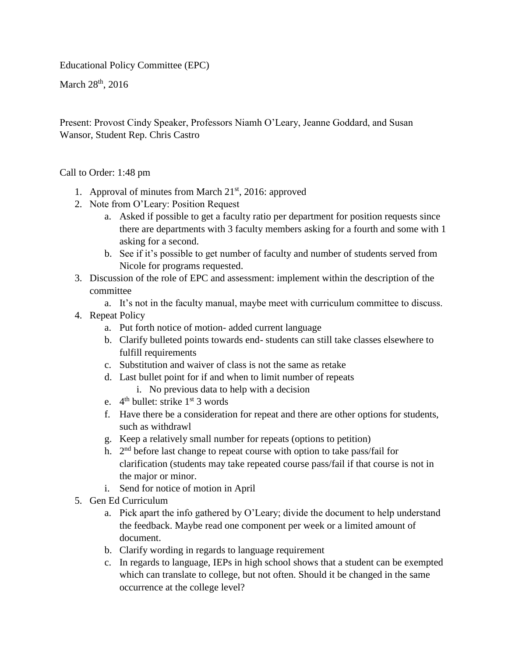Educational Policy Committee (EPC)

March  $28<sup>th</sup>$ , 2016

Present: Provost Cindy Speaker, Professors Niamh O'Leary, Jeanne Goddard, and Susan Wansor, Student Rep. Chris Castro

Call to Order: 1:48 pm

- 1. Approval of minutes from March  $21<sup>st</sup>$ , 2016: approved
- 2. Note from O'Leary: Position Request
	- a. Asked if possible to get a faculty ratio per department for position requests since there are departments with 3 faculty members asking for a fourth and some with 1 asking for a second.
	- b. See if it's possible to get number of faculty and number of students served from Nicole for programs requested.
- 3. Discussion of the role of EPC and assessment: implement within the description of the committee
	- a. It's not in the faculty manual, maybe meet with curriculum committee to discuss.
- 4. Repeat Policy
	- a. Put forth notice of motion- added current language
	- b. Clarify bulleted points towards end- students can still take classes elsewhere to fulfill requirements
	- c. Substitution and waiver of class is not the same as retake
	- d. Last bullet point for if and when to limit number of repeats
		- i. No previous data to help with a decision
	- e.  $4^{\text{th}}$  bullet: strike  $1^{\text{st}}$  3 words
	- f. Have there be a consideration for repeat and there are other options for students, such as withdrawl
	- g. Keep a relatively small number for repeats (options to petition)
	- h.  $2<sup>nd</sup>$  before last change to repeat course with option to take pass/fail for clarification (students may take repeated course pass/fail if that course is not in the major or minor.
	- i. Send for notice of motion in April
- 5. Gen Ed Curriculum
	- a. Pick apart the info gathered by O'Leary; divide the document to help understand the feedback. Maybe read one component per week or a limited amount of document.
	- b. Clarify wording in regards to language requirement
	- c. In regards to language, IEPs in high school shows that a student can be exempted which can translate to college, but not often. Should it be changed in the same occurrence at the college level?